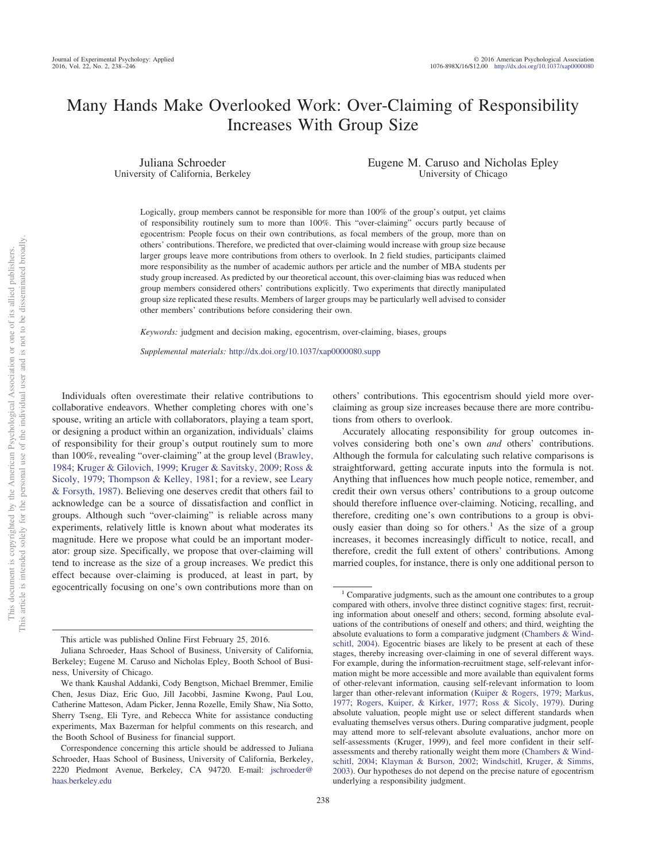# Many Hands Make Overlooked Work: Over-Claiming of Responsibility Increases With Group Size

Juliana Schroeder University of California, Berkeley Eugene M. Caruso and Nicholas Epley University of Chicago

Logically, group members cannot be responsible for more than 100% of the group's output, yet claims of responsibility routinely sum to more than 100%. This "over-claiming" occurs partly because of egocentrism: People focus on their own contributions, as focal members of the group, more than on others' contributions. Therefore, we predicted that over-claiming would increase with group size because larger groups leave more contributions from others to overlook. In 2 field studies, participants claimed more responsibility as the number of academic authors per article and the number of MBA students per study group increased. As predicted by our theoretical account, this over-claiming bias was reduced when group members considered others' contributions explicitly. Two experiments that directly manipulated group size replicated these results. Members of larger groups may be particularly well advised to consider other members' contributions before considering their own.

*Keywords:* judgment and decision making, egocentrism, over-claiming, biases, groups

*Supplemental materials:* http://dx.doi.org[/10.1037/xap0000080.supp](http://dx.doi.org/10.1037/xap0000080.supp)

Individuals often overestimate their relative contributions to collaborative endeavors. Whether completing chores with one's spouse, writing an article with collaborators, playing a team sport, or designing a product within an organization, individuals' claims of responsibility for their group's output routinely sum to more than 100%, revealing "over-claiming" at the group level [\(Brawley,](#page-7-0) [1984;](#page-7-0) [Kruger & Gilovich, 1999;](#page-7-1) [Kruger & Savitsky, 2009;](#page-7-2) [Ross &](#page-8-0) [Sicoly, 1979;](#page-8-0) [Thompson & Kelley, 1981;](#page-8-1) for a review, see [Leary](#page-7-3) [& Forsyth, 1987\)](#page-7-3). Believing one deserves credit that others fail to acknowledge can be a source of dissatisfaction and conflict in groups. Although such "over-claiming" is reliable across many experiments, relatively little is known about what moderates its magnitude. Here we propose what could be an important moderator: group size. Specifically, we propose that over-claiming will tend to increase as the size of a group increases. We predict this effect because over-claiming is produced, at least in part, by egocentrically focusing on one's own contributions more than on

not to be disseminated broadly one of its allied publishers.

 $\rm \tilde{o}$ 

others' contributions. This egocentrism should yield more overclaiming as group size increases because there are more contributions from others to overlook.

Accurately allocating responsibility for group outcomes involves considering both one's own *and* others' contributions. Although the formula for calculating such relative comparisons is straightforward, getting accurate inputs into the formula is not. Anything that influences how much people notice, remember, and credit their own versus others' contributions to a group outcome should therefore influence over-claiming. Noticing, recalling, and therefore, crediting one's own contributions to a group is obviously easier than doing so for others.<sup>1</sup> As the size of a group increases, it becomes increasingly difficult to notice, recall, and therefore, credit the full extent of others' contributions. Among married couples, for instance, there is only one additional person to

This article was published Online First February 25, 2016.

Juliana Schroeder, Haas School of Business, University of California, Berkeley; Eugene M. Caruso and Nicholas Epley, Booth School of Business, University of Chicago.

We thank Kaushal Addanki, Cody Bengtson, Michael Bremmer, Emilie Chen, Jesus Diaz, Eric Guo, Jill Jacobbi, Jasmine Kwong, Paul Lou, Catherine Matteson, Adam Picker, Jenna Rozelle, Emily Shaw, Nia Sotto, Sherry Tseng, Eli Tyre, and Rebecca White for assistance conducting experiments, Max Bazerman for helpful comments on this research, and the Booth School of Business for financial support.

Correspondence concerning this article should be addressed to Juliana Schroeder, Haas School of Business, University of California, Berkeley, 2220 Piedmont Avenue, Berkeley, CA 94720. E-mail: [jschroeder@](mailto:jschroeder@haas.berkeley.edu) [haas.berkeley.edu](mailto:jschroeder@haas.berkeley.edu)

 $1$  Comparative judgments, such as the amount one contributes to a group compared with others, involve three distinct cognitive stages: first, recruiting information about oneself and others; second, forming absolute evaluations of the contributions of oneself and others; and third, weighting the absolute evaluations to form a comparative judgment [\(Chambers & Wind](#page-7-4)[schitl, 2004\)](#page-7-4). Egocentric biases are likely to be present at each of these stages, thereby increasing over-claiming in one of several different ways. For example, during the information-recruitment stage, self-relevant information might be more accessible and more available than equivalent forms of other-relevant information, causing self-relevant information to loom larger than other-relevant information [\(Kuiper & Rogers, 1979;](#page-7-5) [Markus,](#page-7-6) [1977;](#page-7-6) [Rogers, Kuiper, & Kirker, 1977;](#page-8-2) [Ross & Sicoly, 1979\)](#page-8-0). During absolute valuation, people might use or select different standards when evaluating themselves versus others. During comparative judgment, people may attend more to self-relevant absolute evaluations, anchor more on self-assessments (Kruger, 1999), and feel more confident in their selfassessments and thereby rationally weight them more [\(Chambers & Wind](#page-7-4)[schitl, 2004;](#page-7-4) [Klayman & Burson, 2002;](#page-7-7) [Windschitl, Kruger, & Simms,](#page-8-3) [2003\)](#page-8-3). Our hypotheses do not depend on the precise nature of egocentrism underlying a responsibility judgment.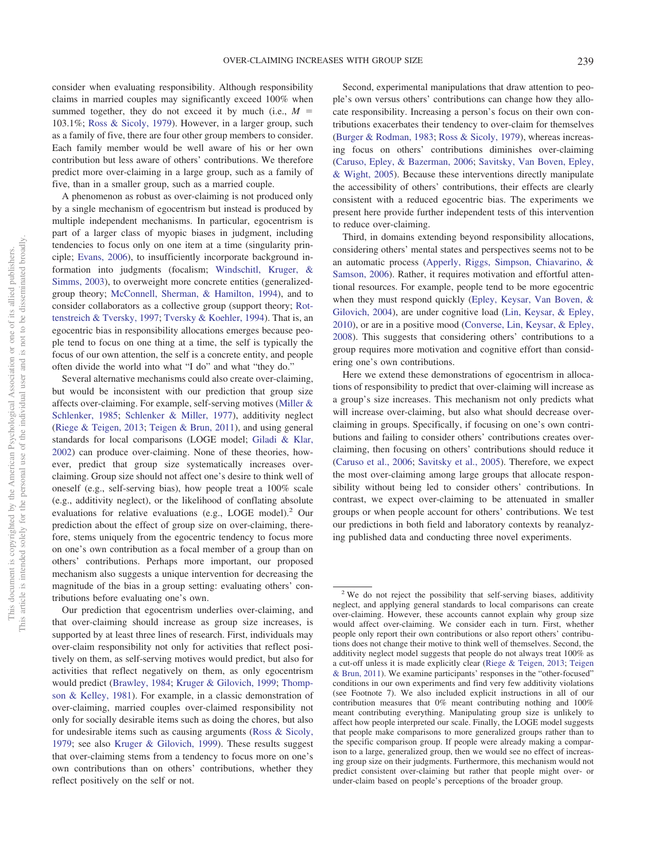consider when evaluating responsibility. Although responsibility claims in married couples may significantly exceed 100% when summed together, they do not exceed it by much (i.e.,  $M =$ 103.1%; [Ross & Sicoly, 1979\)](#page-8-0). However, in a larger group, such as a family of five, there are four other group members to consider. Each family member would be well aware of his or her own contribution but less aware of others' contributions. We therefore predict more over-claiming in a large group, such as a family of five, than in a smaller group, such as a married couple.

A phenomenon as robust as over-claiming is not produced only by a single mechanism of egocentrism but instead is produced by multiple independent mechanisms. In particular, egocentrism is part of a larger class of myopic biases in judgment, including tendencies to focus only on one item at a time (singularity principle; [Evans, 2006\)](#page-7-8), to insufficiently incorporate background information into judgments (focalism; [Windschitl, Kruger, &](#page-8-3) [Simms, 2003\)](#page-8-3), to overweight more concrete entities (generalizedgroup theory; [McConnell, Sherman, & Hamilton, 1994\)](#page-7-9), and to consider collaborators as a collective group (support theory; [Rot](#page-8-4)[tenstreich & Tversky, 1997;](#page-8-4) [Tversky & Koehler, 1994\)](#page-8-5). That is, an egocentric bias in responsibility allocations emerges because people tend to focus on one thing at a time, the self is typically the focus of our own attention, the self is a concrete entity, and people often divide the world into what "I do" and what "they do."

Several alternative mechanisms could also create over-claiming, but would be inconsistent with our prediction that group size affects over-claiming. For example, self-serving motives [\(Miller &](#page-7-10) [Schlenker, 1985;](#page-7-10) [Schlenker & Miller, 1977\)](#page-8-6), additivity neglect [\(Riege & Teigen, 2013;](#page-7-11) [Teigen & Brun, 2011\)](#page-8-7), and using general standards for local comparisons (LOGE model; [Giladi & Klar,](#page-7-12) [2002\)](#page-7-12) can produce over-claiming. None of these theories, however, predict that group size systematically increases overclaiming. Group size should not affect one's desire to think well of oneself (e.g., self-serving bias), how people treat a 100% scale (e.g., additivity neglect), or the likelihood of conflating absolute evaluations for relative evaluations (e.g., LOGE model).<sup>2</sup> Our prediction about the effect of group size on over-claiming, therefore, stems uniquely from the egocentric tendency to focus more on one's own contribution as a focal member of a group than on others' contributions. Perhaps more important, our proposed mechanism also suggests a unique intervention for decreasing the magnitude of the bias in a group setting: evaluating others' contributions before evaluating one's own.

Our prediction that egocentrism underlies over-claiming, and that over-claiming should increase as group size increases, is supported by at least three lines of research. First, individuals may over-claim responsibility not only for activities that reflect positively on them, as self-serving motives would predict, but also for activities that reflect negatively on them, as only egocentrism would predict [\(Brawley, 1984;](#page-7-0) [Kruger & Gilovich, 1999;](#page-7-1) [Thomp](#page-8-1)[son & Kelley, 1981\)](#page-8-1). For example, in a classic demonstration of over-claiming, married couples over-claimed responsibility not only for socially desirable items such as doing the chores, but also for undesirable items such as causing arguments [\(Ross & Sicoly,](#page-8-0) [1979;](#page-8-0) see also [Kruger & Gilovich, 1999\)](#page-7-1). These results suggest that over-claiming stems from a tendency to focus more on one's own contributions than on others' contributions, whether they reflect positively on the self or not.

Second, experimental manipulations that draw attention to people's own versus others' contributions can change how they allocate responsibility. Increasing a person's focus on their own contributions exacerbates their tendency to over-claim for themselves [\(Burger & Rodman, 1983;](#page-7-13) [Ross & Sicoly, 1979\)](#page-8-0), whereas increasing focus on others' contributions diminishes over-claiming [\(Caruso, Epley, & Bazerman, 2006;](#page-7-14) [Savitsky, Van Boven, Epley,](#page-8-8) [& Wight, 2005\)](#page-8-8). Because these interventions directly manipulate the accessibility of others' contributions, their effects are clearly consistent with a reduced egocentric bias. The experiments we present here provide further independent tests of this intervention to reduce over-claiming.

Third, in domains extending beyond responsibility allocations, considering others' mental states and perspectives seems not to be an automatic process [\(Apperly, Riggs, Simpson, Chiavarino, &](#page-7-15) [Samson, 2006\)](#page-7-15). Rather, it requires motivation and effortful attentional resources. For example, people tend to be more egocentric when they must respond quickly [\(Epley, Keysar, Van Boven, &](#page-7-16) [Gilovich, 2004\)](#page-7-16), are under cognitive load [\(Lin, Keysar, & Epley,](#page-7-17) [2010\)](#page-7-17), or are in a positive mood [\(Converse, Lin, Keysar, & Epley,](#page-7-18) [2008\)](#page-7-18). This suggests that considering others' contributions to a group requires more motivation and cognitive effort than considering one's own contributions.

Here we extend these demonstrations of egocentrism in allocations of responsibility to predict that over-claiming will increase as a group's size increases. This mechanism not only predicts what will increase over-claiming, but also what should decrease overclaiming in groups. Specifically, if focusing on one's own contributions and failing to consider others' contributions creates overclaiming, then focusing on others' contributions should reduce it [\(Caruso et al., 2006;](#page-7-14) [Savitsky et al., 2005\)](#page-8-8). Therefore, we expect the most over-claiming among large groups that allocate responsibility without being led to consider others' contributions. In contrast, we expect over-claiming to be attenuated in smaller groups or when people account for others' contributions. We test our predictions in both field and laboratory contexts by reanalyzing published data and conducting three novel experiments.

<sup>&</sup>lt;sup>2</sup> We do not reject the possibility that self-serving biases, additivity neglect, and applying general standards to local comparisons can create over-claiming. However, these accounts cannot explain why group size would affect over-claiming. We consider each in turn. First, whether people only report their own contributions or also report others' contributions does not change their motive to think well of themselves. Second, the additivity neglect model suggests that people do not always treat 100% as a cut-off unless it is made explicitly clear [\(Riege & Teigen, 2013;](#page-7-11) [Teigen](#page-8-7) [& Brun, 2011\)](#page-8-7). We examine participants' responses in the "other-focused" conditions in our own experiments and find very few additivity violations (see Footnote 7). We also included explicit instructions in all of our contribution measures that 0% meant contributing nothing and 100% meant contributing everything. Manipulating group size is unlikely to affect how people interpreted our scale. Finally, the LOGE model suggests that people make comparisons to more generalized groups rather than to the specific comparison group. If people were already making a comparison to a large, generalized group, then we would see no effect of increasing group size on their judgments. Furthermore, this mechanism would not predict consistent over-claiming but rather that people might over- or under-claim based on people's perceptions of the broader group.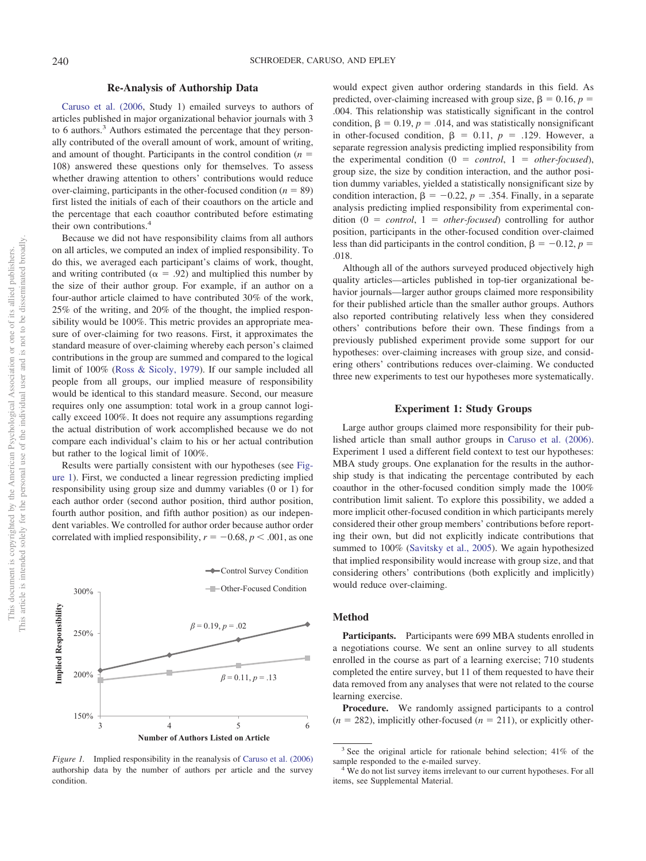This document is copyrighted by the American Psychological Association or one of its allied publishers. This article is intended solely for the personal use of the individual user and is not to be disseminated broadly.

This article is intended solely for the personal use of the individual user and is not to be disseminated broadly. This document is copyrighted by the American Psychological Association or one of its allied publishers.

# **Re-Analysis of Authorship Data**

[Caruso et al. \(2006,](#page-7-14) Study 1) emailed surveys to authors of articles published in major organizational behavior journals with 3 to 6 authors.<sup>3</sup> Authors estimated the percentage that they personally contributed of the overall amount of work, amount of writing, and amount of thought. Participants in the control condition  $(n =$ 108) answered these questions only for themselves. To assess whether drawing attention to others' contributions would reduce over-claiming, participants in the other-focused condition  $(n = 89)$ first listed the initials of each of their coauthors on the article and the percentage that each coauthor contributed before estimating their own contributions.4

Because we did not have responsibility claims from all authors on all articles, we computed an index of implied responsibility. To do this, we averaged each participant's claims of work, thought, and writing contributed ( $\alpha = .92$ ) and multiplied this number by the size of their author group. For example, if an author on a four-author article claimed to have contributed 30% of the work, 25% of the writing, and 20% of the thought, the implied responsibility would be 100%. This metric provides an appropriate measure of over-claiming for two reasons. First, it approximates the standard measure of over-claiming whereby each person's claimed contributions in the group are summed and compared to the logical limit of 100% [\(Ross & Sicoly, 1979\)](#page-8-0). If our sample included all people from all groups, our implied measure of responsibility would be identical to this standard measure. Second, our measure requires only one assumption: total work in a group cannot logically exceed 100%. It does not require any assumptions regarding the actual distribution of work accomplished because we do not compare each individual's claim to his or her actual contribution but rather to the logical limit of 100%.

Results were partially consistent with our hypotheses (see [Fig](#page-2-0)[ure 1\)](#page-2-0). First, we conducted a linear regression predicting implied responsibility using group size and dummy variables (0 or 1) for each author order (second author position, third author position, fourth author position, and fifth author position) as our independent variables. We controlled for author order because author order correlated with implied responsibility,  $r = -0.68$ ,  $p < .001$ , as one



<span id="page-2-0"></span>*Figure 1.* Implied responsibility in the reanalysis of [Caruso et al. \(2006\)](#page-7-14) authorship data by the number of authors per article and the survey condition.

would expect given author ordering standards in this field. As predicted, over-claiming increased with group size,  $\beta = 0.16$ ,  $p =$ .004. This relationship was statistically significant in the control condition,  $\beta = 0.19$ ,  $p = .014$ , and was statistically nonsignificant in other-focused condition,  $\beta = 0.11$ ,  $p = .129$ . However, a separate regression analysis predicting implied responsibility from the experimental condition  $(0 = control, 1 = other- focused)$ , group size, the size by condition interaction, and the author position dummy variables, yielded a statistically nonsignificant size by condition interaction,  $\beta = -0.22$ ,  $p = .354$ . Finally, in a separate analysis predicting implied responsibility from experimental con- $\text{dition } (0 = \text{control}, 1 = \text{other-focused}) \text{ controlling for author}$ position, participants in the other-focused condition over-claimed less than did participants in the control condition,  $\beta = -0.12$ ,  $p =$ .018.

Although all of the authors surveyed produced objectively high quality articles—articles published in top-tier organizational behavior journals—larger author groups claimed more responsibility for their published article than the smaller author groups. Authors also reported contributing relatively less when they considered others' contributions before their own. These findings from a previously published experiment provide some support for our hypotheses: over-claiming increases with group size, and considering others' contributions reduces over-claiming. We conducted three new experiments to test our hypotheses more systematically.

#### **Experiment 1: Study Groups**

Large author groups claimed more responsibility for their published article than small author groups in [Caruso et al. \(2006\).](#page-7-14) Experiment 1 used a different field context to test our hypotheses: MBA study groups. One explanation for the results in the authorship study is that indicating the percentage contributed by each coauthor in the other-focused condition simply made the 100% contribution limit salient. To explore this possibility, we added a more implicit other-focused condition in which participants merely considered their other group members' contributions before reporting their own, but did not explicitly indicate contributions that summed to 100% [\(Savitsky et al., 2005\)](#page-8-8). We again hypothesized that implied responsibility would increase with group size, and that considering others' contributions (both explicitly and implicitly) would reduce over-claiming.

## **Method**

**Participants.** Participants were 699 MBA students enrolled in a negotiations course. We sent an online survey to all students enrolled in the course as part of a learning exercise; 710 students completed the entire survey, but 11 of them requested to have their data removed from any analyses that were not related to the course learning exercise.

**Procedure.** We randomly assigned participants to a control  $(n = 282)$ , implicitly other-focused  $(n = 211)$ , or explicitly other-

<sup>&</sup>lt;sup>3</sup> See the original article for rationale behind selection;  $41\%$  of the sample responded to the e-mailed survey.

<sup>&</sup>lt;sup>4</sup> We do not list survey items irrelevant to our current hypotheses. For all items, see Supplemental Material.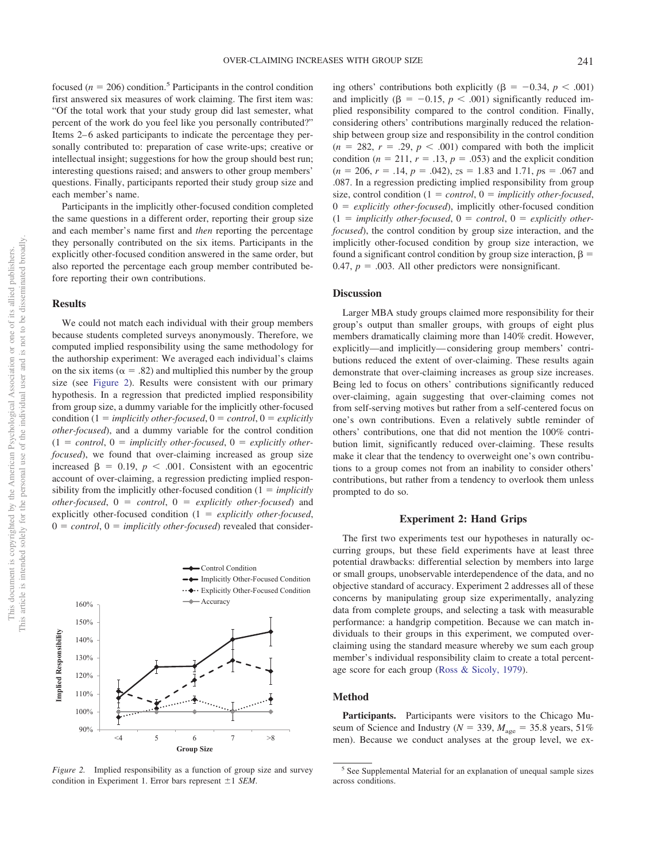focused ( $n = 206$ ) condition.<sup>5</sup> Participants in the control condition first answered six measures of work claiming. The first item was: "Of the total work that your study group did last semester, what percent of the work do you feel like you personally contributed?" Items 2– 6 asked participants to indicate the percentage they personally contributed to: preparation of case write-ups; creative or intellectual insight; suggestions for how the group should best run; interesting questions raised; and answers to other group members' questions. Finally, participants reported their study group size and each member's name.

Participants in the implicitly other-focused condition completed the same questions in a different order, reporting their group size and each member's name first and *then* reporting the percentage they personally contributed on the six items. Participants in the explicitly other-focused condition answered in the same order, but also reported the percentage each group member contributed before reporting their own contributions.

# **Results**

We could not match each individual with their group members because students completed surveys anonymously. Therefore, we computed implied responsibility using the same methodology for the authorship experiment: We averaged each individual's claims on the six items ( $\alpha = .82$ ) and multiplied this number by the group size (see [Figure 2\)](#page-3-0). Results were consistent with our primary hypothesis. In a regression that predicted implied responsibility from group size, a dummy variable for the implicitly other-focused  $condition (1 = implicitly other- focused, 0 = control, 0 = explicitly$ *other-focused*), and a dummy variable for the control condition  $(1 = control, 0 = implicitly other- focused, 0 = explicitly other$ *focused*), we found that over-claiming increased as group size increased  $\beta = 0.19$ ,  $p < .001$ . Consistent with an egocentric account of over-claiming, a regression predicting implied responsibility from the implicitly other-focused condition  $(1 = implicitly)$  $other-focused$ ,  $0 = control$ ,  $0 = explicitly$  other-focused) and explicitly other-focused condition  $(1 = explicitly other- focused,$  $0 = control$ ,  $0 = implicitly other- focused$  revealed that consider-



<span id="page-3-0"></span>*Figure 2.* Implied responsibility as a function of group size and survey condition in Experiment 1. Error bars represent  $\pm 1$  *SEM*.

ing others' contributions both explicitly ( $\beta = -0.34$ ,  $p < .001$ ) and implicitly ( $\beta = -0.15$ ,  $p < .001$ ) significantly reduced implied responsibility compared to the control condition. Finally, considering others' contributions marginally reduced the relationship between group size and responsibility in the control condition  $(n = 282, r = .29, p < .001)$  compared with both the implicit condition ( $n = 211$ ,  $r = .13$ ,  $p = .053$ ) and the explicit condition  $(n = 206, r = .14, p = .042), zs = 1.83 \text{ and } 1.71, ps = .067 \text{ and}$ .087. In a regression predicting implied responsibility from group size, control condition  $(1 = control, 0 = implicitly other- focused,$  $0 =$  *explicitly other-focused*), implicitly other-focused condition  $(1 = implicitly other- focused, 0 = control, 0 = explicitly other$ *focused*), the control condition by group size interaction, and the implicitly other-focused condition by group size interaction, we found a significant control condition by group size interaction,  $\beta$  = 0.47,  $p = 0.003$ . All other predictors were nonsignificant.

# **Discussion**

Larger MBA study groups claimed more responsibility for their group's output than smaller groups, with groups of eight plus members dramatically claiming more than 140% credit. However, explicitly—and implicitly— considering group members' contributions reduced the extent of over-claiming. These results again demonstrate that over-claiming increases as group size increases. Being led to focus on others' contributions significantly reduced over-claiming, again suggesting that over-claiming comes not from self-serving motives but rather from a self-centered focus on one's own contributions. Even a relatively subtle reminder of others' contributions, one that did not mention the 100% contribution limit, significantly reduced over-claiming. These results make it clear that the tendency to overweight one's own contributions to a group comes not from an inability to consider others' contributions, but rather from a tendency to overlook them unless prompted to do so.

## **Experiment 2: Hand Grips**

The first two experiments test our hypotheses in naturally occurring groups, but these field experiments have at least three potential drawbacks: differential selection by members into large or small groups, unobservable interdependence of the data, and no objective standard of accuracy. Experiment 2 addresses all of these concerns by manipulating group size experimentally, analyzing data from complete groups, and selecting a task with measurable performance: a handgrip competition. Because we can match individuals to their groups in this experiment, we computed overclaiming using the standard measure whereby we sum each group member's individual responsibility claim to create a total percentage score for each group [\(Ross & Sicoly, 1979\)](#page-8-0).

#### **Method**

**Participants.** Participants were visitors to the Chicago Museum of Science and Industry ( $N = 339$ ,  $M_{\text{age}} = 35.8$  years,  $51\%$ men). Because we conduct analyses at the group level, we ex-

<sup>5</sup> See Supplemental Material for an explanation of unequal sample sizes across conditions.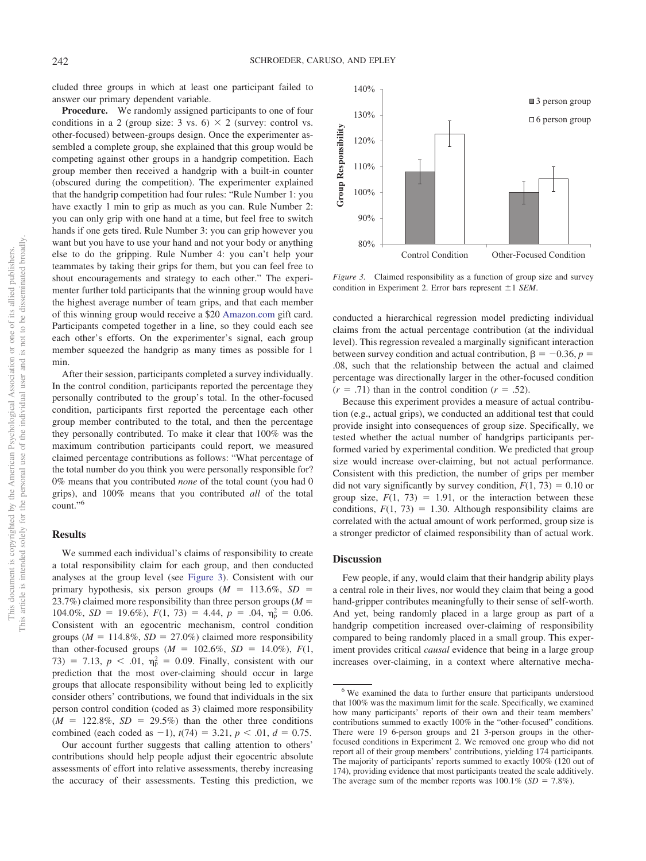cluded three groups in which at least one participant failed to answer our primary dependent variable.

**Procedure.** We randomly assigned participants to one of four conditions in a 2 (group size: 3 vs. 6)  $\times$  2 (survey: control vs. other-focused) between-groups design. Once the experimenter assembled a complete group, she explained that this group would be competing against other groups in a handgrip competition. Each group member then received a handgrip with a built-in counter (obscured during the competition). The experimenter explained that the handgrip competition had four rules: "Rule Number 1: you have exactly 1 min to grip as much as you can. Rule Number 2: you can only grip with one hand at a time, but feel free to switch hands if one gets tired. Rule Number 3: you can grip however you want but you have to use your hand and not your body or anything else to do the gripping. Rule Number 4: you can't help your teammates by taking their grips for them, but you can feel free to shout encouragements and strategy to each other." The experimenter further told participants that the winning group would have the highest average number of team grips, and that each member of this winning group would receive a \$20 [Amazon.com](http://Amazon.com) gift card. Participants competed together in a line, so they could each see each other's efforts. On the experimenter's signal, each group member squeezed the handgrip as many times as possible for 1 min.

After their session, participants completed a survey individually. In the control condition, participants reported the percentage they personally contributed to the group's total. In the other-focused condition, participants first reported the percentage each other group member contributed to the total, and then the percentage they personally contributed. To make it clear that 100% was the maximum contribution participants could report, we measured claimed percentage contributions as follows: "What percentage of the total number do you think you were personally responsible for? 0% means that you contributed *none* of the total count (you had 0 grips), and 100% means that you contributed *all* of the total count."6

#### **Results**

We summed each individual's claims of responsibility to create a total responsibility claim for each group, and then conducted analyses at the group level (see [Figure 3\)](#page-4-0). Consistent with our primary hypothesis, six person groups  $(M = 113.6\%, SD =$ 23.7%) claimed more responsibility than three person groups ( $M =$ 104.0%,  $SD = 19.6\%$ ,  $F(1, 73) = 4.44$ ,  $p = .04$ ,  $\eta_p^2 = 0.06$ . Consistent with an egocentric mechanism, control condition groups ( $M = 114.8\%$ ,  $SD = 27.0\%$ ) claimed more responsibility than other-focused groups  $(M = 102.6\%, SD = 14.0\%), F(1,$ 73) = 7.13,  $p < .01$ ,  $\eta_p^2 = 0.09$ . Finally, consistent with our prediction that the most over-claiming should occur in large groups that allocate responsibility without being led to explicitly consider others' contributions, we found that individuals in the six person control condition (coded as 3) claimed more responsibility  $(M = 122.8\%, SD = 29.5\%)$  than the other three conditions combined (each coded as  $-1$ ),  $t(74) = 3.21$ ,  $p < .01$ ,  $d = 0.75$ .

Our account further suggests that calling attention to others' contributions should help people adjust their egocentric absolute assessments of effort into relative assessments, thereby increasing the accuracy of their assessments. Testing this prediction, we



<span id="page-4-0"></span>*Figure 3.* Claimed responsibility as a function of group size and survey condition in Experiment 2. Error bars represent  $\pm 1$  *SEM*.

conducted a hierarchical regression model predicting individual claims from the actual percentage contribution (at the individual level). This regression revealed a marginally significant interaction between survey condition and actual contribution,  $\beta = -0.36$ ,  $p =$ .08, such that the relationship between the actual and claimed percentage was directionally larger in the other-focused condition  $(r = .71)$  than in the control condition  $(r = .52)$ .

Because this experiment provides a measure of actual contribution (e.g., actual grips), we conducted an additional test that could provide insight into consequences of group size. Specifically, we tested whether the actual number of handgrips participants performed varied by experimental condition. We predicted that group size would increase over-claiming, but not actual performance. Consistent with this prediction, the number of grips per member did not vary significantly by survey condition,  $F(1, 73) = 0.10$  or group size,  $F(1, 73) = 1.91$ , or the interaction between these conditions,  $F(1, 73) = 1.30$ . Although responsibility claims are correlated with the actual amount of work performed, group size is a stronger predictor of claimed responsibility than of actual work.

#### **Discussion**

Few people, if any, would claim that their handgrip ability plays a central role in their lives, nor would they claim that being a good hand-gripper contributes meaningfully to their sense of self-worth. And yet, being randomly placed in a large group as part of a handgrip competition increased over-claiming of responsibility compared to being randomly placed in a small group. This experiment provides critical *causal* evidence that being in a large group increases over-claiming, in a context where alternative mecha-

<sup>6</sup> We examined the data to further ensure that participants understood that 100% was the maximum limit for the scale. Specifically, we examined how many participants' reports of their own and their team members' contributions summed to exactly 100% in the "other-focused" conditions. There were 19 6-person groups and 21 3-person groups in the otherfocused conditions in Experiment 2. We removed one group who did not report all of their group members' contributions, yielding 174 participants. The majority of participants' reports summed to exactly 100% (120 out of 174), providing evidence that most participants treated the scale additively. The average sum of the member reports was  $100.1\%$  (*SD* = 7.8%).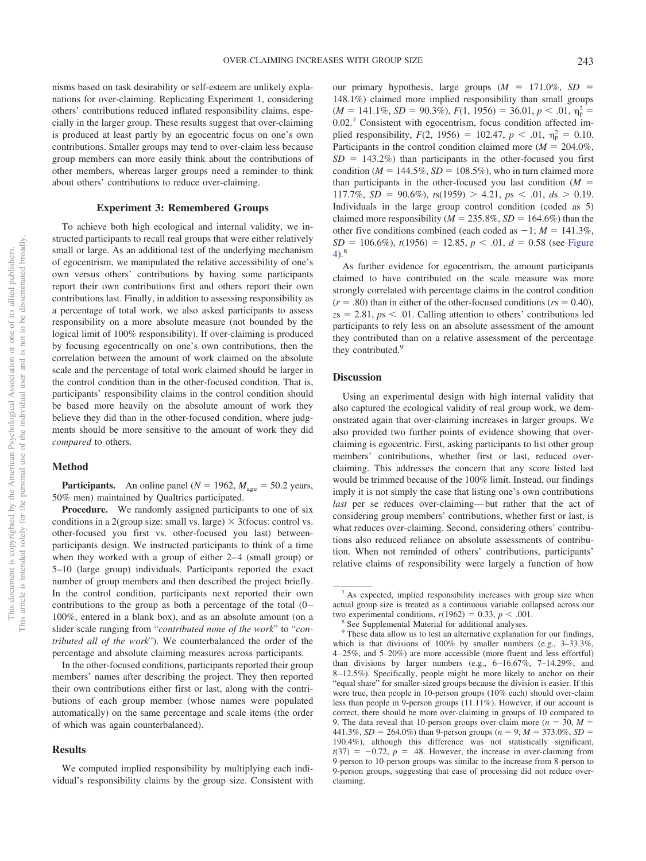nisms based on task desirability or self-esteem are unlikely explanations for over-claiming. Replicating Experiment 1, considering others' contributions reduced inflated responsibility claims, especially in the larger group. These results suggest that over-claiming is produced at least partly by an egocentric focus on one's own contributions. Smaller groups may tend to over-claim less because group members can more easily think about the contributions of other members, whereas larger groups need a reminder to think about others' contributions to reduce over-claiming.

# **Experiment 3: Remembered Groups**

To achieve both high ecological and internal validity, we instructed participants to recall real groups that were either relatively small or large. As an additional test of the underlying mechanism of egocentrism, we manipulated the relative accessibility of one's own versus others' contributions by having some participants report their own contributions first and others report their own contributions last. Finally, in addition to assessing responsibility as a percentage of total work, we also asked participants to assess responsibility on a more absolute measure (not bounded by the logical limit of 100% responsibility). If over-claiming is produced by focusing egocentrically on one's own contributions, then the correlation between the amount of work claimed on the absolute scale and the percentage of total work claimed should be larger in the control condition than in the other-focused condition. That is, participants' responsibility claims in the control condition should be based more heavily on the absolute amount of work they believe they did than in the other-focused condition, where judgments should be more sensitive to the amount of work they did *compared* to others.

#### **Method**

**Participants.** An online panel ( $N = 1962$ ,  $M_{\text{age}} = 50.2$  years, 50% men) maintained by Qualtrics participated.

**Procedure.** We randomly assigned participants to one of six conditions in a 2(group size: small vs. large)  $\times$  3(focus: control vs. other-focused you first vs. other-focused you last) betweenparticipants design. We instructed participants to think of a time when they worked with a group of either 2–4 (small group) or 5–10 (large group) individuals. Participants reported the exact number of group members and then described the project briefly. In the control condition, participants next reported their own contributions to the group as both a percentage of the total  $(0 -$ 100%, entered in a blank box), and as an absolute amount (on a slider scale ranging from "*contributed none of the work*" to "*contributed all of the work*"). We counterbalanced the order of the percentage and absolute claiming measures across participants.

In the other-focused conditions, participants reported their group members' names after describing the project. They then reported their own contributions either first or last, along with the contributions of each group member (whose names were populated automatically) on the same percentage and scale items (the order of which was again counterbalanced).

## **Results**

our primary hypothesis, large groups  $(M = 171.0\%$ ,  $SD =$ 148.1%) claimed more implied responsibility than small groups  $(M = 141.1\%, SD = 90.3\%), F(1, 1956) = 36.01, p < .01, \eta_{p}^{2} =$ 0.02.7 Consistent with egocentrism, focus condition affected implied responsibility,  $F(2, 1956) = 102.47, p < .01, \eta_p^2 = 0.10.$ Participants in the control condition claimed more ( $M = 204.0\%$ ,  $SD = 143.2\%$ ) than participants in the other-focused you first condition ( $M = 144.5\%$ ,  $SD = 108.5\%$ ), who in turn claimed more than participants in the other-focused you last condition  $(M =$  $117.7\%, SD = 90.6\%, ts(1959) > 4.21, ps < .01, ds > 0.19.$ Individuals in the large group control condition (coded as 5) claimed more responsibility ( $M = 235.8\%$ ,  $SD = 164.6\%$ ) than the other five conditions combined (each coded as  $-1$ ;  $M = 141.3\%$ ,  $SD = 106.6\%$ ),  $t(1956) = 12.85$ ,  $p < .01$ ,  $d = 0.58$  (see [Figure](#page-6-0) [4\)](#page-6-0).8

As further evidence for egocentrism, the amount participants claimed to have contributed on the scale measure was more strongly correlated with percentage claims in the control condition  $(r = .80)$  than in either of the other-focused conditions ( $rs = 0.40$ ),  $z_s = 2.81$ ,  $ps < .01$ . Calling attention to others' contributions led participants to rely less on an absolute assessment of the amount they contributed than on a relative assessment of the percentage they contributed.<sup>9</sup>

# **Discussion**

Using an experimental design with high internal validity that also captured the ecological validity of real group work, we demonstrated again that over-claiming increases in larger groups. We also provided two further points of evidence showing that overclaiming is egocentric. First, asking participants to list other group members' contributions, whether first or last, reduced overclaiming. This addresses the concern that any score listed last would be trimmed because of the 100% limit. Instead, our findings imply it is not simply the case that listing one's own contributions *last* per se reduces over-claiming— but rather that the act of considering group members' contributions, whether first or last, is what reduces over-claiming. Second, considering others' contributions also reduced reliance on absolute assessments of contribution. When not reminded of others' contributions, participants' relative claims of responsibility were largely a function of how

We computed implied responsibility by multiplying each individual's responsibility claims by the group size. Consistent with

 $<sup>7</sup>$  As expected, implied responsibility increases with group size when</sup> actual group size is treated as a continuous variable collapsed across our two experimental conditions,  $r(1962) = 0.33$ ,  $p < .001$ .

See Supplemental Material for additional analyses.

<sup>&</sup>lt;sup>9</sup> These data allow us to test an alternative explanation for our findings, which is that divisions of 100% by smaller numbers (e.g., 3-33.3%, 4 –25%, and 5–20%) are more accessible (more fluent and less effortful) than divisions by larger numbers (e.g.,  $6-16.67\%$ ,  $7-14.29\%$ , and 8 –12.5%). Specifically, people might be more likely to anchor on their "equal share" for smaller-sized groups because the division is easier. If this were true, then people in 10-person groups (10% each) should over-claim less than people in 9-person groups (11.11%). However, if our account is correct, there should be more over-claiming in groups of 10 compared to 9. The data reveal that 10-person groups over-claim more ( $n = 30$ ,  $M =$  $441.3\%$ ,  $SD = 264.0\%$ ) than 9-person groups ( $n = 9$ ,  $M = 373.0\%$ ,  $SD =$ 190.4%), although this difference was not statistically significant,  $t(37) = -0.72$ ,  $p = .48$ . However, the increase in over-claiming from 9-person to 10-person groups was similar to the increase from 8-person to 9-person groups, suggesting that ease of processing did not reduce overclaiming.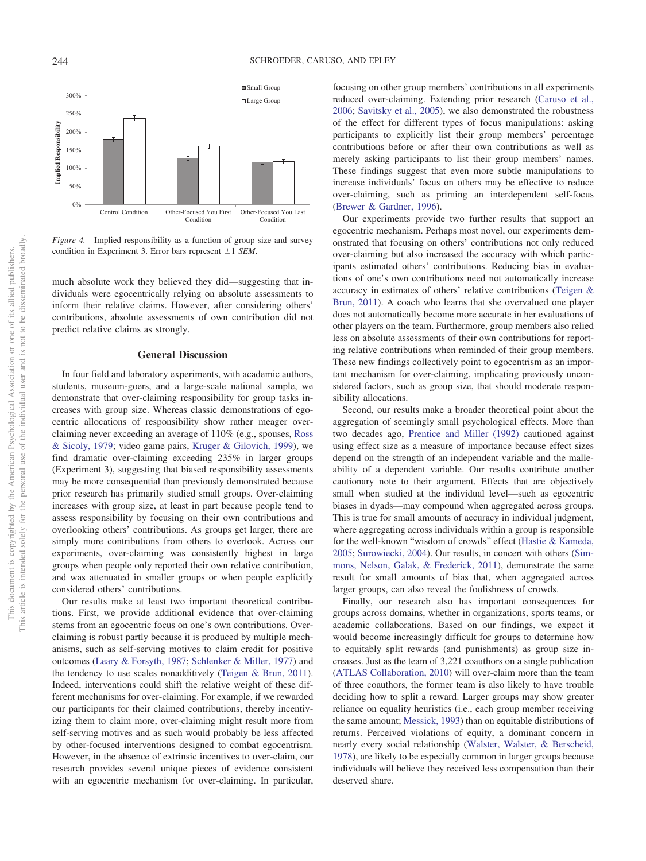

<span id="page-6-0"></span>*Figure 4.* Implied responsibility as a function of group size and survey condition in Experiment 3. Error bars represent  $\pm 1$  *SEM*.

much absolute work they believed they did—suggesting that individuals were egocentrically relying on absolute assessments to inform their relative claims. However, after considering others' contributions, absolute assessments of own contribution did not predict relative claims as strongly.

#### **General Discussion**

In four field and laboratory experiments, with academic authors, students, museum-goers, and a large-scale national sample, we demonstrate that over-claiming responsibility for group tasks increases with group size. Whereas classic demonstrations of egocentric allocations of responsibility show rather meager overclaiming never exceeding an average of 110% (e.g., spouses, [Ross](#page-8-0) [& Sicoly, 1979;](#page-8-0) video game pairs, [Kruger & Gilovich, 1999\)](#page-7-1), we find dramatic over-claiming exceeding 235% in larger groups (Experiment 3), suggesting that biased responsibility assessments may be more consequential than previously demonstrated because prior research has primarily studied small groups. Over-claiming increases with group size, at least in part because people tend to assess responsibility by focusing on their own contributions and overlooking others' contributions. As groups get larger, there are simply more contributions from others to overlook. Across our experiments, over-claiming was consistently highest in large groups when people only reported their own relative contribution, and was attenuated in smaller groups or when people explicitly considered others' contributions.

Our results make at least two important theoretical contributions. First, we provide additional evidence that over-claiming stems from an egocentric focus on one's own contributions. Overclaiming is robust partly because it is produced by multiple mechanisms, such as self-serving motives to claim credit for positive outcomes [\(Leary & Forsyth, 1987;](#page-7-3) [Schlenker & Miller, 1977\)](#page-8-6) and the tendency to use scales nonadditively [\(Teigen & Brun, 2011\)](#page-8-7). Indeed, interventions could shift the relative weight of these different mechanisms for over-claiming. For example, if we rewarded our participants for their claimed contributions, thereby incentivizing them to claim more, over-claiming might result more from self-serving motives and as such would probably be less affected by other-focused interventions designed to combat egocentrism. However, in the absence of extrinsic incentives to over-claim, our research provides several unique pieces of evidence consistent with an egocentric mechanism for over-claiming. In particular, focusing on other group members' contributions in all experiments reduced over-claiming. Extending prior research [\(Caruso et al.,](#page-7-14) [2006;](#page-7-14) [Savitsky et al., 2005\)](#page-8-8), we also demonstrated the robustness of the effect for different types of focus manipulations: asking participants to explicitly list their group members' percentage contributions before or after their own contributions as well as merely asking participants to list their group members' names. These findings suggest that even more subtle manipulations to increase individuals' focus on others may be effective to reduce over-claiming, such as priming an interdependent self-focus [\(Brewer & Gardner, 1996\)](#page-7-19).

Our experiments provide two further results that support an egocentric mechanism. Perhaps most novel, our experiments demonstrated that focusing on others' contributions not only reduced over-claiming but also increased the accuracy with which participants estimated others' contributions. Reducing bias in evaluations of one's own contributions need not automatically increase accuracy in estimates of others' relative contributions [\(Teigen &](#page-8-7) [Brun, 2011\)](#page-8-7). A coach who learns that she overvalued one player does not automatically become more accurate in her evaluations of other players on the team. Furthermore, group members also relied less on absolute assessments of their own contributions for reporting relative contributions when reminded of their group members. These new findings collectively point to egocentrism as an important mechanism for over-claiming, implicating previously unconsidered factors, such as group size, that should moderate responsibility allocations.

Second, our results make a broader theoretical point about the aggregation of seemingly small psychological effects. More than two decades ago, [Prentice and Miller \(1992\)](#page-7-20) cautioned against using effect size as a measure of importance because effect sizes depend on the strength of an independent variable and the malleability of a dependent variable. Our results contribute another cautionary note to their argument. Effects that are objectively small when studied at the individual level—such as egocentric biases in dyads—may compound when aggregated across groups. This is true for small amounts of accuracy in individual judgment, where aggregating across individuals within a group is responsible for the well-known "wisdom of crowds" effect [\(Hastie & Kameda,](#page-7-21) [2005;](#page-7-21) [Surowiecki, 2004\)](#page-8-9). Our results, in concert with others [\(Sim](#page-8-10)[mons, Nelson, Galak, & Frederick, 2011\)](#page-8-10), demonstrate the same result for small amounts of bias that, when aggregated across larger groups, can also reveal the foolishness of crowds.

Finally, our research also has important consequences for groups across domains, whether in organizations, sports teams, or academic collaborations. Based on our findings, we expect it would become increasingly difficult for groups to determine how to equitably split rewards (and punishments) as group size increases. Just as the team of 3,221 coauthors on a single publication [\(ATLAS Collaboration, 2010\)](#page-7-22) will over-claim more than the team of three coauthors, the former team is also likely to have trouble deciding how to split a reward. Larger groups may show greater reliance on equality heuristics (i.e., each group member receiving the same amount; [Messick, 1993\)](#page-7-23) than on equitable distributions of returns. Perceived violations of equity, a dominant concern in nearly every social relationship [\(Walster, Walster, & Berscheid,](#page-8-11) [1978\)](#page-8-11), are likely to be especially common in larger groups because individuals will believe they received less compensation than their deserved share.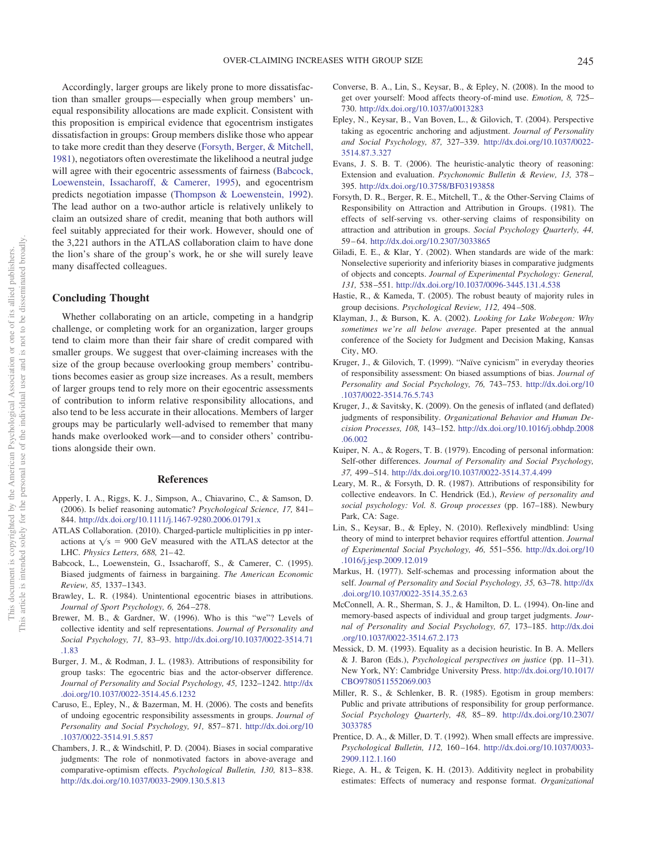Accordingly, larger groups are likely prone to more dissatisfaction than smaller groups— especially when group members' unequal responsibility allocations are made explicit. Consistent with this proposition is empirical evidence that egocentrism instigates dissatisfaction in groups: Group members dislike those who appear to take more credit than they deserve [\(Forsyth, Berger, & Mitchell,](#page-7-24) [1981\)](#page-7-24), negotiators often overestimate the likelihood a neutral judge will agree with their egocentric assessments of fairness [\(Babcock,](#page-7-25) [Loewenstein, Issacharoff, & Camerer, 1995\)](#page-7-25), and egocentrism predicts negotiation impasse [\(Thompson & Loewenstein, 1992\)](#page-8-12). The lead author on a two-author article is relatively unlikely to claim an outsized share of credit, meaning that both authors will feel suitably appreciated for their work. However, should one of the 3,221 authors in the ATLAS collaboration claim to have done the lion's share of the group's work, he or she will surely leave many disaffected colleagues.

# **Concluding Thought**

Whether collaborating on an article, competing in a handgrip challenge, or completing work for an organization, larger groups tend to claim more than their fair share of credit compared with smaller groups. We suggest that over-claiming increases with the size of the group because overlooking group members' contributions becomes easier as group size increases. As a result, members of larger groups tend to rely more on their egocentric assessments of contribution to inform relative responsibility allocations, and also tend to be less accurate in their allocations. Members of larger groups may be particularly well-advised to remember that many hands make overlooked work—and to consider others' contributions alongside their own.

#### **References**

- <span id="page-7-15"></span>Apperly, I. A., Riggs, K. J., Simpson, A., Chiavarino, C., & Samson, D. (2006). Is belief reasoning automatic? *Psychological Science, 17,* 841– 844. <http://dx.doi.org/10.1111/j.1467-9280.2006.01791.x>
- <span id="page-7-22"></span>ATLAS Collaboration. (2010). Charged-particle multiplicities in pp interactions at  $\sqrt{s}$  = 900 GeV measured with the ATLAS detector at the LHC. *Physics Letters, 688,* 21– 42.
- <span id="page-7-25"></span>Babcock, L., Loewenstein, G., Issacharoff, S., & Camerer, C. (1995). Biased judgments of fairness in bargaining. *The American Economic Review, 85,* 1337–1343.
- <span id="page-7-0"></span>Brawley, L. R. (1984). Unintentional egocentric biases in attributions. *Journal of Sport Psychology, 6,* 264 –278.
- <span id="page-7-19"></span>Brewer, M. B., & Gardner, W. (1996). Who is this "we"? Levels of collective identity and self representations. *Journal of Personality and Social Psychology, 71,* 83–93. [http://dx.doi.org/10.1037/0022-3514.71](http://dx.doi.org/10.1037/0022-3514.71.1.83) [.1.83](http://dx.doi.org/10.1037/0022-3514.71.1.83)
- <span id="page-7-13"></span>Burger, J. M., & Rodman, J. L. (1983). Attributions of responsibility for group tasks: The egocentric bias and the actor-observer difference. *Journal of Personality and Social Psychology, 45,* 1232–1242. [http://dx](http://dx.doi.org/10.1037/0022-3514.45.6.1232) [.doi.org/10.1037/0022-3514.45.6.1232](http://dx.doi.org/10.1037/0022-3514.45.6.1232)
- <span id="page-7-14"></span>Caruso, E., Epley, N., & Bazerman, M. H. (2006). The costs and benefits of undoing egocentric responsibility assessments in groups. *Journal of Personality and Social Psychology, 91,* 857– 871. [http://dx.doi.org/10](http://dx.doi.org/10.1037/0022-3514.91.5.857) [.1037/0022-3514.91.5.857](http://dx.doi.org/10.1037/0022-3514.91.5.857)
- <span id="page-7-4"></span>Chambers, J. R., & Windschitl, P. D. (2004). Biases in social comparative judgments: The role of nonmotivated factors in above-average and comparative-optimism effects. *Psychological Bulletin, 130,* 813– 838. <http://dx.doi.org/10.1037/0033-2909.130.5.813>
- <span id="page-7-18"></span>Converse, B. A., Lin, S., Keysar, B., & Epley, N. (2008). In the mood to get over yourself: Mood affects theory-of-mind use. *Emotion, 8,* 725– 730. <http://dx.doi.org/10.1037/a0013283>
- <span id="page-7-16"></span>Epley, N., Keysar, B., Van Boven, L., & Gilovich, T. (2004). Perspective taking as egocentric anchoring and adjustment. *Journal of Personality and Social Psychology, 87,* 327–339. [http://dx.doi.org/10.1037/0022-](http://dx.doi.org/10.1037/0022-3514.87.3.327) [3514.87.3.327](http://dx.doi.org/10.1037/0022-3514.87.3.327)
- <span id="page-7-8"></span>Evans, J. S. B. T. (2006). The heuristic-analytic theory of reasoning: Extension and evaluation. *Psychonomic Bulletin & Review, 13,* 378 – 395. <http://dx.doi.org/10.3758/BF03193858>
- <span id="page-7-24"></span>Forsyth, D. R., Berger, R. E., Mitchell, T., & the Other-Serving Claims of Responsibility on Attraction and Attribution in Groups. (1981). The effects of self-serving vs. other-serving claims of responsibility on attraction and attribution in groups. *Social Psychology Quarterly, 44,* 59 – 64. <http://dx.doi.org/10.2307/3033865>
- <span id="page-7-12"></span>Giladi, E. E., & Klar, Y. (2002). When standards are wide of the mark: Nonselective superiority and inferiority biases in comparative judgments of objects and concepts. *Journal of Experimental Psychology: General, 131,* 538 –551. <http://dx.doi.org/10.1037/0096-3445.131.4.538>
- <span id="page-7-21"></span>Hastie, R., & Kameda, T. (2005). The robust beauty of majority rules in group decisions. *Psychological Review, 112,* 494 –508.
- <span id="page-7-7"></span>Klayman, J., & Burson, K. A. (2002). *Looking for Lake Wobegon: Why sometimes we're all below average*. Paper presented at the annual conference of the Society for Judgment and Decision Making, Kansas City, MO.
- <span id="page-7-1"></span>Kruger, J., & Gilovich, T. (1999). "Naïve cynicism" in everyday theories of responsibility assessment: On biased assumptions of bias. *Journal of Personality and Social Psychology, 76,* 743–753. [http://dx.doi.org/10](http://dx.doi.org/10.1037/0022-3514.76.5.743) [.1037/0022-3514.76.5.743](http://dx.doi.org/10.1037/0022-3514.76.5.743)
- <span id="page-7-2"></span>Kruger, J., & Savitsky, K. (2009). On the genesis of inflated (and deflated) judgments of responsibility. *Organizational Behavior and Human Decision Processes, 108,* 143–152. [http://dx.doi.org/10.1016/j.obhdp.2008](http://dx.doi.org/10.1016/j.obhdp.2008.06.002) [.06.002](http://dx.doi.org/10.1016/j.obhdp.2008.06.002)
- <span id="page-7-5"></span>Kuiper, N. A., & Rogers, T. B. (1979). Encoding of personal information: Self-other differences. *Journal of Personality and Social Psychology, 37,* 499 –514. <http://dx.doi.org/10.1037/0022-3514.37.4.499>
- <span id="page-7-3"></span>Leary, M. R., & Forsyth, D. R. (1987). Attributions of responsibility for collective endeavors. In C. Hendrick (Ed.), *Review of personality and social psychology: Vol. 8*. *Group processes* (pp. 167–188). Newbury Park, CA: Sage.
- <span id="page-7-17"></span>Lin, S., Keysar, B., & Epley, N. (2010). Reflexively mindblind: Using theory of mind to interpret behavior requires effortful attention. *Journal of Experimental Social Psychology, 46,* 551–556. [http://dx.doi.org/10](http://dx.doi.org/10.1016/j.jesp.2009.12.019) [.1016/j.jesp.2009.12.019](http://dx.doi.org/10.1016/j.jesp.2009.12.019)
- <span id="page-7-6"></span>Markus, H. (1977). Self-schemas and processing information about the self. *Journal of Personality and Social Psychology, 35,* 63–78. [http://dx](http://dx.doi.org/10.1037/0022-3514.35.2.63) [.doi.org/10.1037/0022-3514.35.2.63](http://dx.doi.org/10.1037/0022-3514.35.2.63)
- <span id="page-7-9"></span>McConnell, A. R., Sherman, S. J., & Hamilton, D. L. (1994). On-line and memory-based aspects of individual and group target judgments. *Journal of Personality and Social Psychology, 67,* 173–185. [http://dx.doi](http://dx.doi.org/10.1037/0022-3514.67.2.173) [.org/10.1037/0022-3514.67.2.173](http://dx.doi.org/10.1037/0022-3514.67.2.173)
- <span id="page-7-23"></span>Messick, D. M. (1993). Equality as a decision heuristic. In B. A. Mellers & J. Baron (Eds.), *Psychological perspectives on justice* (pp. 11–31). New York, NY: Cambridge University Press. [http://dx.doi.org/10.1017/](http://dx.doi.org/10.1017/CBO9780511552069.003) [CBO9780511552069.003](http://dx.doi.org/10.1017/CBO9780511552069.003)
- <span id="page-7-10"></span>Miller, R. S., & Schlenker, B. R. (1985). Egotism in group members: Public and private attributions of responsibility for group performance. *Social Psychology Quarterly, 48,* 85– 89. [http://dx.doi.org/10.2307/](http://dx.doi.org/10.2307/3033785) [3033785](http://dx.doi.org/10.2307/3033785)
- <span id="page-7-20"></span>Prentice, D. A., & Miller, D. T. (1992). When small effects are impressive. *Psychological Bulletin, 112,* 160 –164. [http://dx.doi.org/10.1037/0033-](http://dx.doi.org/10.1037/0033-2909.112.1.160) [2909.112.1.160](http://dx.doi.org/10.1037/0033-2909.112.1.160)
- <span id="page-7-11"></span>Riege, A. H., & Teigen, K. H. (2013). Additivity neglect in probability estimates: Effects of numeracy and response format. *Organizational*